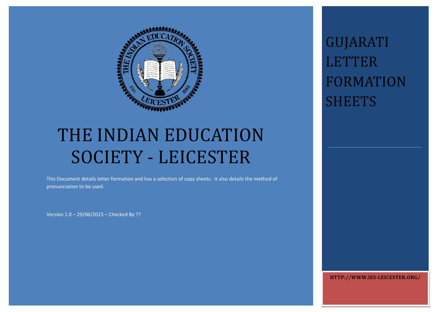

# THE INDIAN EDUCATION SOCIETY - LEICESTER

This Document details letter formation and has <sup>a</sup> selection of copy sheets. It also details the method of pronunciation to be used.

Version 1.0 – 29/06/2015 – Checked By ??

GUJARATI LETTER FORMATION SHEETS 

**HTTP://WWW.IES‐LEICESTER.ORG/**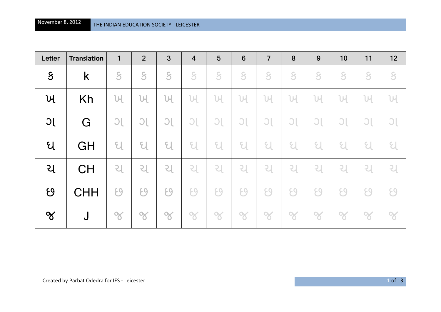| Letter        | <b>Translation</b> | $\mathbf{1}$            | $\overline{2}$ | $\mathbf{3}$                | $\overline{4}$ | $5\phantom{1}$ | $6\phantom{1}6$             | $\overline{7}$              | 8                           | 9              | 10                          | 11            | 12                          |
|---------------|--------------------|-------------------------|----------------|-----------------------------|----------------|----------------|-----------------------------|-----------------------------|-----------------------------|----------------|-----------------------------|---------------|-----------------------------|
| $\mathcal{S}$ | K                  | $\overline{\mathbf{S}}$ | S              | $\mathcal{S}$               | $\mathcal{S}$  | $\mathcal{S}$  | 8                           | $\overline{\mathcal{S}}$    | $\overline{\mathcal{S}}$    | $\overline{S}$ | $\mathsf S$                 | $\mathcal{S}$ | $\mathcal{S}$               |
| ખ             | Kh                 | ખ                       | ખ              | ખ                           | ખ              | ખ              | 버                           | Ul                          | ખ                           | Ы              | ЪH                          | UЧ            | ખ                           |
| JC            | G                  | C                       | C              | $\overline{C}$              | C              | $\bigcirc$     | $\bigcirc$                  | $\bigcirc$                  | $\bigcirc$                  | $\bigcirc$     | $\bigcirc$                  | $\bigcirc$    | $\bigcirc$                  |
| ધ             | GH                 | $\epsilon$              | $\mathfrak{C}$ | $\epsilon$                  | ઘ              | $\epsilon$     | $\epsilon$                  | $\epsilon$                  | ઘ                           | $\epsilon$     | $\epsilon$                  | $\epsilon$    | $\epsilon$                  |
| ચ             | <b>CH</b>          | ચ                       | ચ              | $\mathcal{L}_{\mathcal{A}}$ | 리              | $\mathcal{S}$  | $\mathcal{L}_{\mathcal{A}}$ | $\mathcal{L}_{\mathcal{A}}$ | $\mathcal{L}_{\mathcal{A}}$ | $\mathcal{L}$  | $\mathcal{L}_{\mathcal{A}}$ | $\mathcal{S}$ | $\mathcal{L}_{\mathcal{A}}$ |
| $\mathcal{G}$ | <b>CHH</b>         | ۶9                      | ۶9             | ÇΟ                          | 69             | ÇΟ             | 69                          | CQ                          | 69                          | ΨQ             | ۶q                          | ΨQ            | $\Theta$                    |
| $\propto$     | J                  | $\infty$                | $\infty$       | $\infty$                    | $\infty$       | $\infty$       | $\infty$                    | $\infty$                    | $\infty$                    | $\infty$       | $\infty$                    | $\infty$      | $\infty$                    |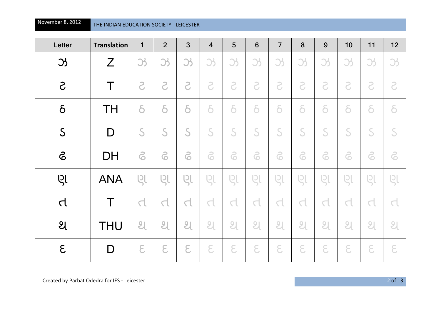| Letter         | <b>Translation</b> | $\mathbf{1}$              | $\overline{2}$ | 3                | $\overline{4}$           | 5                        | $6\phantom{1}$            | $\overline{7}$ | 8              | 9          | 10                       | 11            | 12                       |
|----------------|--------------------|---------------------------|----------------|------------------|--------------------------|--------------------------|---------------------------|----------------|----------------|------------|--------------------------|---------------|--------------------------|
| $\mathfrak{B}$ | Z                  | 3                         | 35             | 3                | 35                       | 35                       | 3                         | 35             | 33             | 35         | 35                       | 3             | $\mathfrak{B}$           |
| $\mathcal{S}$  | Τ                  | S                         | 5              | 5                | S                        | S                        | S                         | 5              | S              | S          | S                        | S             | S                        |
| $\delta$       | <b>TH</b>          | $\delta$                  | $\delta$       | $\delta$         | $\delta$                 | $\delta$                 | $\delta$                  | $\delta$       | $\delta$       | $\delta$   | $\delta$                 | $\delta$      | $\delta$                 |
| $\mathsf{S}$   | D                  | S                         | S              | S                | S                        | S                        | S                         | S              | S              | S          | S                        | S             | S                        |
| 6              | <b>DH</b>          | 6                         | 5              | 6                | 6                        | 6                        | 6                         | 6              | 6              | 6          | 6                        | 6             | 6                        |
| Ų              | <b>ANA</b>         | Q                         | βſ             | ણ                | L                        | ιgι                      | Q                         | ણ              | ણ              | Ql         | ણ                        | ιgι           | ણ                        |
| $\Delta$       | Τ                  | $\Delta$                  | $\Delta$       | $\subset \!\! 1$ | $\overline{\mathcal{L}}$ | $\overline{\mathcal{L}}$ | $\Box$                    | d              | d              | $\Delta$   | $\overline{\mathcal{L}}$ | $\Delta$      | $\overline{\mathcal{L}}$ |
| $\mathfrak{A}$ | <b>THU</b>         | $\overline{\mathfrak{L}}$ | શ              | શ                | શ                        | શ                        | $\overline{\mathfrak{A}}$ | શ              | $\overline{2}$ | શ          | શ                        | શ             | 9 <sub>l</sub>           |
| $\epsilon$     | D                  | $\epsilon$                | $\epsilon$     | $\epsilon$       | $\epsilon$               | $\epsilon$               | $\epsilon$                | $\epsilon$     | $\epsilon$     | $\epsilon$ | $\epsilon$               | $\varepsilon$ | $\epsilon$               |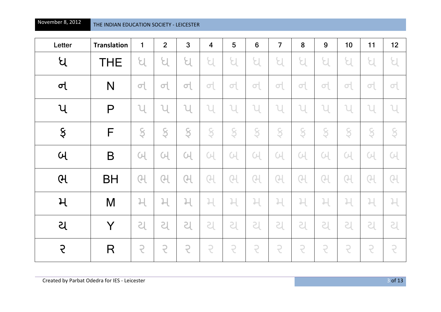| Letter                    | <b>Translation</b> | $\mathbf{1}$   | $\overline{2}$ | 3              | $\overline{\mathbf{4}}$ | 5              | $6\phantom{1}$          | $\overline{7}$ | 8              | 9              | 10             | 11             | 12             |
|---------------------------|--------------------|----------------|----------------|----------------|-------------------------|----------------|-------------------------|----------------|----------------|----------------|----------------|----------------|----------------|
| ધ                         | <b>THE</b>         | ଧ              | Я              | ધ              | ႘                       | ધ              | Я                       | Я              | ଧ              | ଧ              | ଧ              | ႘              | Я              |
| $\sigma$                  | N                  | $\sigma$       | $\sigma$       | $\sigma\vert$  | $\sigma$                | $\sigma$       | $\sigma$                | 히              | $\sigma$       | 이              | $\sigma$       | $\sigma$       | $\sigma$       |
| $\mathcal{U}$             | P                  | $\mathsf{u}$   | $\mathbf{u}$   | l              | ้น                      | ้น             | $\mathcal{U}$           | $\cup$         | $\mathcal{U}$  | ่น             | ้น             | $\mathbb U$    | $\mathcal{U}$  |
| $\boldsymbol{\mathsf{S}}$ | F                  | S              | Ş              | S              | Ş                       | S              | S                       | S              | Ş              | Ş              | S              | Ş              | Ş              |
| $\mathsf{U}$              | B                  | $\overline{u}$ | <u>어</u>       | <b>C</b>       | $\overline{u}$          | $\overline{u}$ | C <sub>1</sub>          | C <sub>1</sub> | $\overline{u}$ | (니             | C <sub>1</sub> | $\overline{u}$ | $\overline{u}$ |
| $\theta$                  | <b>BH</b>          | $\overline{G}$ | ભ              | ႘              | Q                       | ભ              | Q                       | $\overline{C}$ | Q              | ભ              | ભ              | Q              | ભ              |
| $\mathcal{H}$             | M                  | $\mathcal{H}$  | 니              | $\mathfrak{p}$ | $\overline{r}$          | $\mathfrak{p}$ | $\overline{\mathsf{H}}$ | $\overline{r}$ | $\mathcal{H}$  | $\overline{1}$ | 니              | $\overline{r}$ | $\mathcal{H}$  |
| ચ                         | Y                  | S              | <b>SI</b>      | S              | <b>SI</b>               | <b>SI</b>      | S                       | <b>SI</b>      | S              | SI             | <b>S</b>       | S              | ટા             |
| $\overline{\mathcal{L}}$  | R                  | $\overline{z}$ | 5              | $\overline{z}$ | $\overline{z}$          | $\overline{z}$ | $\overline{z}$          | $\overline{C}$ | $\overline{z}$ | $\overline{z}$ | $\overline{z}$ | $\overline{z}$ | $\overline{z}$ |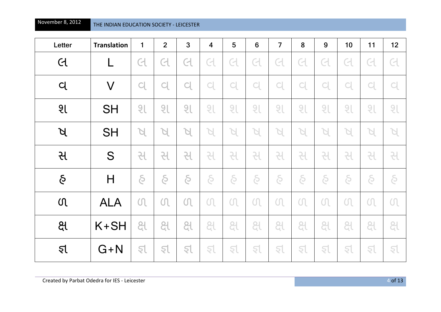| Letter         | <b>Translation</b> | 1            | $\overline{2}$         | 3                        | $\overline{\mathbf{4}}$ | 5                | $6\phantom{1}$ | $\overline{7}$           | 8                           | 9              | 10           | 11                       | 12                     |
|----------------|--------------------|--------------|------------------------|--------------------------|-------------------------|------------------|----------------|--------------------------|-----------------------------|----------------|--------------|--------------------------|------------------------|
| $\overline{d}$ |                    | લ            | લ                      | લ                        | લ                       | $\epsilon$       | C              | $\overline{\mathcal{C}}$ | $\operatorname{\mathsf{C}}$ | $\overline{C}$ | $\epsilon$   | $\overline{\mathcal{C}}$ | લ                      |
| $\mathsf{C}$   | $\bm{\mathsf{V}}$  | $\mathbf{C}$ | $\mathsf{C}\mathsf{l}$ | $\mathsf{C}\!\mathsf{l}$ | $\mathsf{C}$            | $C_{\mathbf{k}}$ | $\mathsf{C}$   | $\mathsf{C}\mathsf{l}$   | $\mathsf{C}\mathsf{l}$      | $\mathsf{C}$   | $\mathsf{C}$ | $\Box$                   | $\mathsf{C}\mathsf{l}$ |
| 9 <sub>l</sub> | <b>SH</b>          | 2l           | શ                      | શ                        | श                       | 2 <sub>l</sub>   | શ              | શ                        | શ                           | શ              | શ            | શ                        | શ                      |
| $\beta$        | <b>SH</b>          | R            | A                      | R                        | $\varphi$               | R                | Я              | Я                        | A                           | A              | Я            | Я                        | A                      |
| સ              | S                  | 긘            | સ                      | સ                        | સ                       | સ                | સ              | સ                        | સ                           | સ              | સ            | સ                        | સ                      |
| $\delta$       | $\mathsf{H}$       | $\delta$     | $\delta$               | $\delta$                 | $\delta$                | $\delta$         | $\delta$       | S                        | $\delta$                    | $\delta$       | $\delta$     | $\delta$                 | $\delta$               |
| $\Omega$       | <b>ALA</b>         | $\Omega$     | $\Omega$               | $\Omega$                 | $\Omega$                | $\Omega$         | $\Omega$       | $\Omega$                 | $\Omega$                    | $\Omega$       | $\Omega$     | $\Omega$                 | $\Omega$               |
| <u>ଥି</u>      | $K+SH$             | ક્ષ          | ક્ષ                    | ક્ષ                      | ક્ષ                     | ક્ષ              | ક્ષ            | ક્ષ                      | ક્ષ                         | ક્ષ            | ક્ષ          | ક્ષ                      | ક્ષ                    |
| $\mathcal{L}$  | $G+N$              | इ            | इ                      | इ                        | इ                       | इ                | રા             | રા                       | इ                           | इ              | इ            | રા                       | इ                      |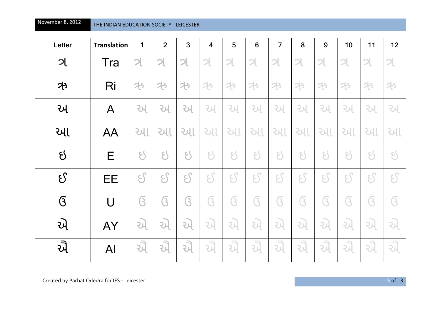| Letter         | <b>Translation</b> | $\mathbf{1}$                | $\overline{2}$ | 3                           | $\overline{\mathbf{4}}$ | 5           | 6           | $\overline{7}$ | 8             | 9             | 10             | 11                      | 12                 |
|----------------|--------------------|-----------------------------|----------------|-----------------------------|-------------------------|-------------|-------------|----------------|---------------|---------------|----------------|-------------------------|--------------------|
| $\mathcal{A}$  | Tra                | $\mathcal{A}$               | ત્ર            | ત્ર                         | ત્ર                     | ત્ર         | ત્ર         | ત્ર            | ત્ર           | ત્ર           | $\mathfrak{p}$ | ત્ર                     | ત્ર                |
| 外              | Ri                 | 25                          | 25             | 25                          | 25                      | わ           | 25          | 25             | わ             | わ             | 29             | 25                      | 29                 |
| અ              | A                  | 게                           | 게              | 게                           | 게                       | 게           | 게           | 2내             | 게             | 게             | 게              | 게                       | 게                  |
| આ              | AA                 | <b>આ</b>                    | <b>આ</b>       | 게                           | <b>PHI</b>              | આ           | 게           | 게              | 게             | <b>JUS</b>    | 게              | 게                       | આ                  |
| $\delta$       | E                  | $\mathcal{E}$               | $\mathsf{S}$   | $\mathcal{E}_{\mathcal{C}}$ | $\mathcal{E}$           | $\epsilon'$ | $\epsilon'$ | ۶S             | $\mathcal{E}$ | $\mathcal{E}$ | $\zeta$        | $\epsilon'$             | $\mathsf{S}$       |
| $\delta$       | EE                 | $\mathcal{E}$               | $\mathcal{E}$  | $\mathcal{E}_{\mathcal{E}}$ | 55                      | 55          | ႘ၟ          | یج             | $\mathcal{E}$ | یج            | 55             | ႘ၟ                      | ႘ၟ                 |
| $\overline{G}$ | $\bigcup$          | $\overline{(\overline{3})}$ | િ              | 3                           | િ                       | િ           | િ           | િ              | 3             | િ             | $\overline{z}$ | $\overline{\textbf{S}}$ | ઉ                  |
| એ              | AY                 | 게                           | り              | り                           | 레                       | 레           | 외           | 게              | 레             | 레             | 레              | 외                       | 게                  |
| ઐ              | AI                 | ઐ                           | り              | 게                           | 레                       | $\vec{u}$   | ઐ           | 게              | 게             | -3<br>레       | 게              | 게                       | $\Rightarrow$<br>게 |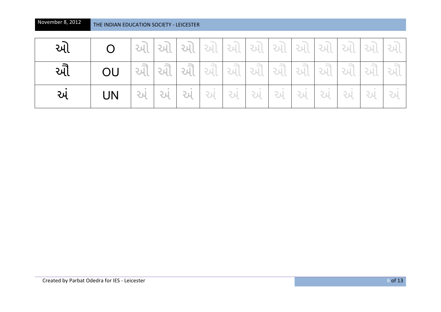| આ  |    | આ  |    |    |    | $ 3\lambda $ $ 3\lambda $ $ 3\lambda $ $ 3\lambda $ $ 3\lambda $ $ 3\lambda $ $ 3\lambda $ $ 3\lambda $ $ 3\lambda $ |     |    |    |    |    |     |  |
|----|----|----|----|----|----|----------------------------------------------------------------------------------------------------------------------|-----|----|----|----|----|-----|--|
| આે | OU | ઔ  |    |    |    | ઔ  ઔ  ઔ  ઔ  ઔ  ઔ  ઔ  ઔ  ઔ  ઔ                                                                                         |     |    |    |    |    |     |  |
| અ  | UN | અં | અં | અં | અં | અં                                                                                                                   | 'અં | અં | અં | અં | અં | -અં |  |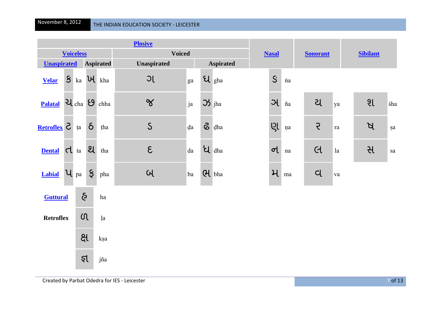|                    | <b>Plosive</b> |                  |                    |                  |                    |    |                    |                             |  |                |          |                 |            |                 |     |  |
|--------------------|----------------|------------------|--------------------|------------------|--------------------|----|--------------------|-----------------------------|--|----------------|----------|-----------------|------------|-----------------|-----|--|
|                    |                | <b>Voiceless</b> |                    |                  | <b>Voiced</b>      |    |                    |                             |  | <b>Nasal</b>   |          | <b>Sonorant</b> |            | <b>Sibilant</b> |     |  |
| <b>Unaspirated</b> |                |                  |                    | <b>Aspirated</b> | <b>Unaspirated</b> |    |                    | <b>Aspirated</b>            |  |                |          |                 |            |                 |     |  |
| <b>Velar</b>       | $\mathsf{S}$   | ka               |                    | $\mathbf{u}$ kha | JC                 | ga |                    | $U_{gha}$                   |  | $\overline{S}$ | ńa       |                 |            |                 |     |  |
| <b>Palatal</b>     |                | 긴 cha 9          |                    | chha             | $\alpha$           | ja | $\mathfrak{B}$ jha |                             |  | $\mathcal{A}$  | ña       | ય               | ya         | 91              | śha |  |
| S <u>xeftoflex</u> |                | ța               | $\delta$           | tha              | $\mathsf{S}$       | da |                    | $\delta$ dha                |  | <b>ISL</b>     | ņa       | $\mathcal{E}$   | ${\rm ra}$ | $\beta$         | şa  |  |
| <b>Dental</b>      |                | $\sigma$ ta      | $\mathfrak{A}$     | tha              | $\epsilon$         | da |                    | $\overline{\mathbf{u}}$ dha |  | $\sigma$       | na       | C               | la         | સ               | sa  |  |
| <b>Labial</b>      |                | $\mathbf{u}$ pa  | $\boldsymbol{\xi}$ | pha              | $\omega$           | ba | H bha              |                             |  | $\mathcal{H}$  | $\rm ma$ | $\alpha$        | va         |                 |     |  |
| <b>Guttural</b>    |                | $\delta$         |                    | $\,$ ha          |                    |    |                    |                             |  |                |          |                 |            |                 |     |  |
| <b>Retroflex</b>   |                | $\Omega$         |                    | <i>l</i> a       |                    |    |                    |                             |  |                |          |                 |            |                 |     |  |
|                    |                | <u>ક્ષ</u>       |                    | kşa              |                    |    |                    |                             |  |                |          |                 |            |                 |     |  |
|                    |                | इ                |                    | jña              |                    |    |                    |                             |  |                |          |                 |            |                 |     |  |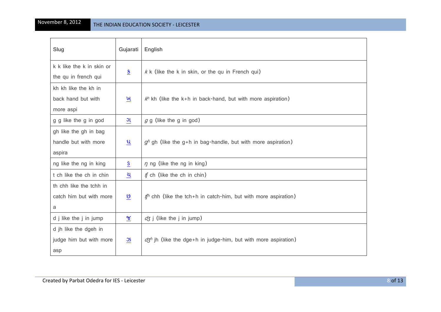| Slug                                              | Gujarati                  | English                                                                        |
|---------------------------------------------------|---------------------------|--------------------------------------------------------------------------------|
| k k like the k in skin or<br>the qu in french qui | $\frac{8}{1}$             | $k$ k (like the k in skin, or the qu in French qui)                            |
| kh kh like the kh in                              |                           |                                                                                |
| back hand but with<br>more aspi                   | ખ                         | $k^h$ kh (like the k+h in back-hand, but with more aspiration)                 |
| g g like the g in god                             | ગ                         | $g$ g (like the g in god)                                                      |
| gh like the gh in bag                             |                           |                                                                                |
| handle but with more                              | <u>ધ</u>                  | $gh$ gh (like the g+h in bag-handle, but with more aspiration)                 |
| aspira                                            |                           |                                                                                |
| ng like the ng in king                            | S                         | $\eta$ ng (like the ng in king)                                                |
| t ch like the ch in chin                          | ચ                         | $f$ ch (like the ch in chin)                                                   |
| th chh like the tchh in                           |                           |                                                                                |
| catch him but with more                           | $9$                       | $f^{\prime\prime}$ chh (like the tch+h in catch-him, but with more aspiration) |
| a                                                 |                           |                                                                                |
| d j like the j in jump                            | $\underline{\mathcal{X}}$ | $d\zeta$ j (like the j in jump)                                                |
| d jh like the dgeh in                             |                           |                                                                                |
| judge him but with more                           | $\frac{3}{2}$             | $d\zeta^h$ jh (like the dge+h in judge-him, but with more aspiration)          |
| asp                                               |                           |                                                                                |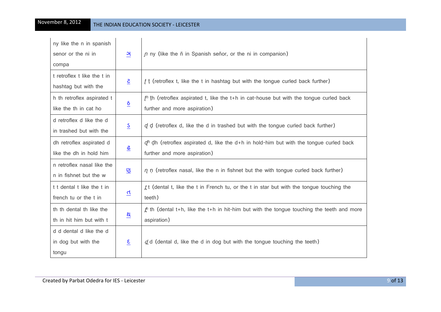| ny like the n in spanish<br>senor or the ni in          | ઞ                    | $\eta$ ny (like the $\ddot{\text{n}}$ in Spanish señor, or the ni in companion)                                               |
|---------------------------------------------------------|----------------------|-------------------------------------------------------------------------------------------------------------------------------|
| compa                                                   |                      |                                                                                                                               |
| t retroflex t like the t in<br>hashtag but with the     | $\overline{S}$       | $f$ t (retroflex t, like the t in hashtag but with the tongue curled back further)                                            |
| h th retroflex aspirated t<br>like the th in cat ho     | $\underline{\delta}$ | $fh$ th (retroflex aspirated t, like the t+h in cat-house but with the tongue curled back<br>further and more aspiration)     |
| d retroflex d like the d<br>in trashed but with the     | $S_{\parallel}$      | $q$ d (retroflex d, like the d in trashed but with the tongue curled back further)                                            |
| dh retroflex aspirated d<br>like the dh in hold him     | $\frac{6}{5}$        | $q^{f_0}$ dh (retroflex aspirated d, like the d+h in hold-him but with the tongue curled back<br>further and more aspiration) |
| n retroflex nasal like the<br>n in fishnet but the w    | ણ                    | $\eta$ n (retroflex nasal, like the n in fishnet but the with tongue curled back further)                                     |
| t t dental t like the t in<br>french tu or the t in     | d                    | $f$ t (dental t, like the t in French tu, or the t in star but with the tongue touching the<br>teeth)                         |
| th th dental th like the<br>th in hit him but with t    | <u>શ</u>             | $\hat{\psi}$ th (dental t+h, like the t+h in hit-him but with the tongue touching the teeth and more<br>aspiration)           |
| d d dental d like the d<br>in dog but with the<br>tongu | ε                    | $d$ d (dental d, like the d in dog but with the tongue touching the teeth)                                                    |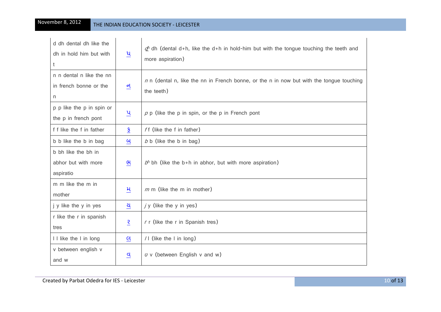## November 8, 2012 <mark> <sub>THE</sub></mark>

| d dh dental dh like the<br>dh in hold him but with<br>t | ધ                        | $q^{6}$ dh (dental d+h, like the d+h in hold-him but with the tongue touching the teeth and<br>more aspiration) |
|---------------------------------------------------------|--------------------------|-----------------------------------------------------------------------------------------------------------------|
| n n dental n like the nn<br>in french bonne or the<br>n | $\underline{\mathsf{d}}$ | $n \times n$ (dental n, like the nn in French bonne, or the n in now but with the tongue touching<br>the teeth) |
| p p like the p in spin or<br>the p in french pont       | $\underline{u}$          | $\rho$ p (like the p in spin, or the p in French pont                                                           |
| f f like the f in father                                | $\frac{5}{2}$            | ff (like the f in father)                                                                                       |
| b b like the b in bag                                   | બ                        | $b$ b (like the b in bag)                                                                                       |
| b bh like the bh in<br>abhor but with more<br>aspiratio | ભ                        | $b6$ bh (like the b+h in abhor, but with more aspiration)                                                       |
| m m like the m in<br>mother                             | મ                        | $m$ m (like the m in mother)                                                                                    |
| j y like the y in yes                                   | ચ                        | $j y$ (like the y in yes)                                                                                       |
| r like the r in spanish<br>tres                         | $\overline{\mathcal{E}}$ | r r (like the r in Spanish tres)                                                                                |
| I I like the I in long                                  | લ                        | $/$ (like the I in long)                                                                                        |
| v between english v<br>and w                            | વ                        | $\upsilon$ v (between English v and w)                                                                          |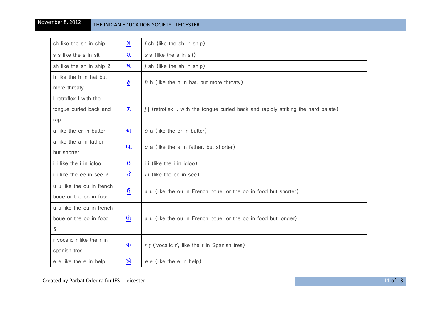| sh like the sh in ship    | શ                        | $\int$ sh (like the sh in ship)                                                     |  |  |  |  |  |  |  |
|---------------------------|--------------------------|-------------------------------------------------------------------------------------|--|--|--|--|--|--|--|
| s s like the s in sit     | સ                        | $s$ s (like the s in sit)                                                           |  |  |  |  |  |  |  |
| sh like the sh in ship 2  | $\cancel{q}$             | $\int$ sh (like the sh in ship)                                                     |  |  |  |  |  |  |  |
| h like the h in hat but   | <u>ତ</u>                 | $h$ h (like the h in hat, but more throaty)                                         |  |  |  |  |  |  |  |
| more throaty              |                          |                                                                                     |  |  |  |  |  |  |  |
| I retroflex I with the    |                          |                                                                                     |  |  |  |  |  |  |  |
| tongue curled back and    | n                        | [ ] (retroflex I, with the tongue curled back and rapidly striking the hard palate) |  |  |  |  |  |  |  |
| rap                       |                          |                                                                                     |  |  |  |  |  |  |  |
| a like the er in butter   | અ                        | $\theta$ a (like the er in butter)                                                  |  |  |  |  |  |  |  |
| a like the a in father    | આ                        | $\alpha$ a (like the a in father, but shorter)                                      |  |  |  |  |  |  |  |
| but shorter               |                          |                                                                                     |  |  |  |  |  |  |  |
| i i like the i in igloo   | ઇ                        | i i (like the i in igloo)                                                           |  |  |  |  |  |  |  |
| i i like the ee in see 2  | <u>ઇ</u>                 | $i$ (like the ee in see)                                                            |  |  |  |  |  |  |  |
| u u like the ou in french |                          |                                                                                     |  |  |  |  |  |  |  |
| boue or the oo in food    | $\underline{\mathsf{G}}$ | u u (like the ou in French boue, or the oo in food but shorter)                     |  |  |  |  |  |  |  |
| u u like the ou in french |                          |                                                                                     |  |  |  |  |  |  |  |
| boue or the oo in food    | ઊ                        | u u (like the ou in French boue, or the oo in food but longer)                      |  |  |  |  |  |  |  |
| 5                         |                          |                                                                                     |  |  |  |  |  |  |  |
| r vocalic r like the r in |                          |                                                                                     |  |  |  |  |  |  |  |
| spanish tres              | ₩                        | r r ('vocalic r', like the r in Spanish tres)                                       |  |  |  |  |  |  |  |
| e e like the e in help    | એ                        | $e \in$ (like the e in help)                                                        |  |  |  |  |  |  |  |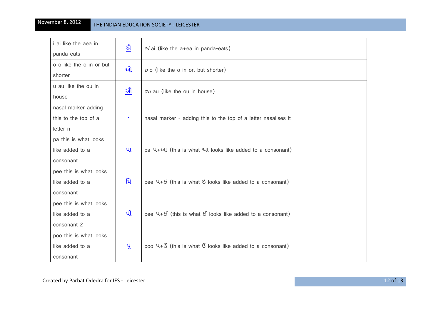| <i>i</i> ai like the aea in | ઐ              | $\theta$ <i>i</i> ai (like the $a + ea$ in panda-eats)         |
|-----------------------------|----------------|----------------------------------------------------------------|
| panda eats                  |                |                                                                |
| o o like the o in or but    | ઓ              | $o$ o (like the o in or, but shorter)                          |
| shorter                     |                |                                                                |
| u au like the ou in         | ઔ              | au au (like the ou in house)                                   |
| house                       |                |                                                                |
| nasal marker adding         |                |                                                                |
| this to the top of a        |                | nasal marker - adding this to the top of a letter nasalises it |
| letter n                    |                |                                                                |
| pa this is what looks       |                |                                                                |
| like added to a             | પા             | pa U+34l (this is what 34l looks like added to a consonant)    |
| consonant                   |                |                                                                |
| pee this is what looks      |                |                                                                |
| like added to a             | પિ             | pee $U+U$ (this is what U looks like added to a consonant)     |
| consonant                   |                |                                                                |
| pee this is what looks      |                |                                                                |
| like added to a             | પી             | pee $U + E$ (this is what $E$ looks like added to a consonant) |
| consonant 2                 |                |                                                                |
| poo this is what looks      |                |                                                                |
| like added to a             | $\mathfrak{A}$ | poo $U+G$ (this is what $G$ looks like added to a consonant)   |
| consonant                   |                |                                                                |